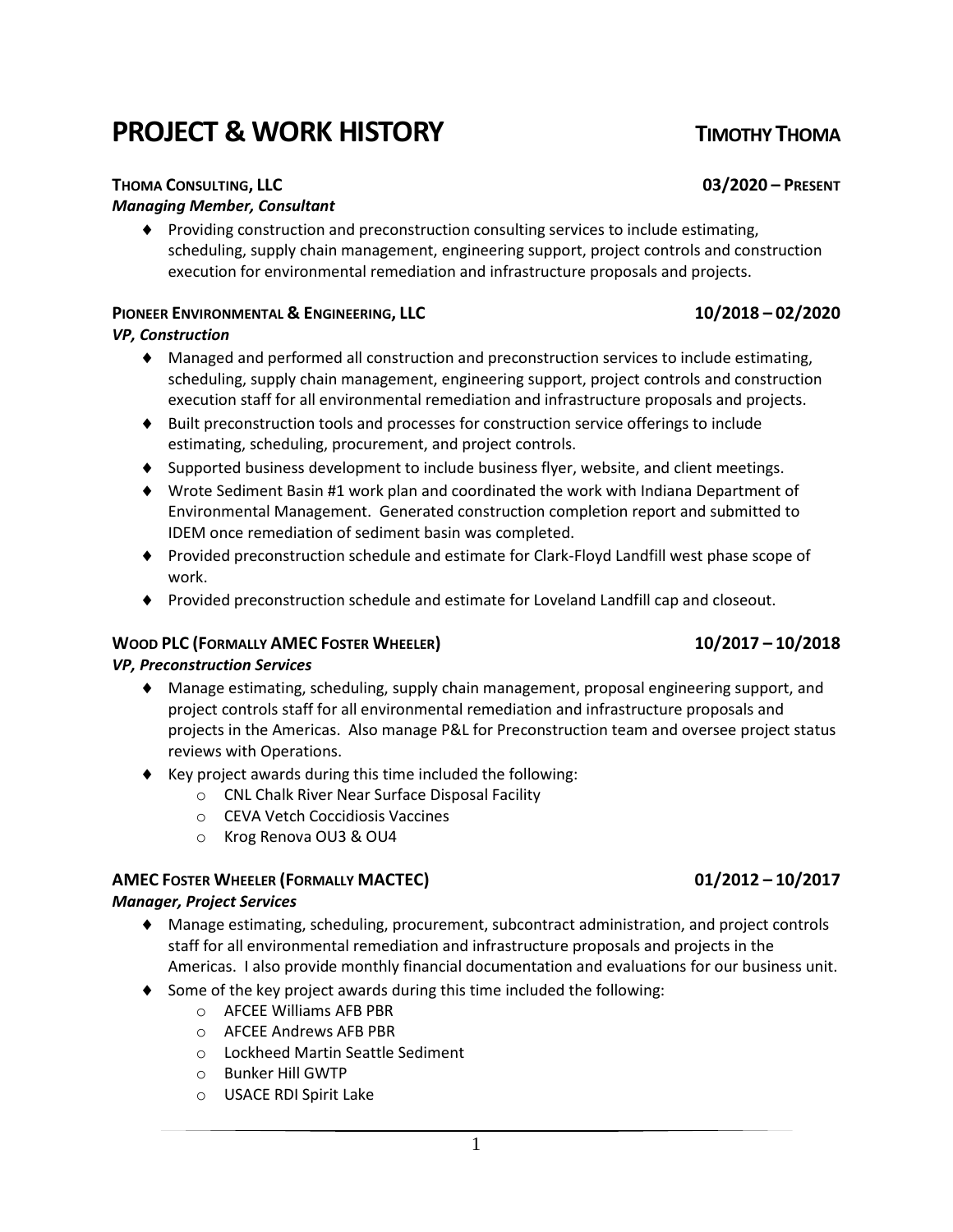#### 1

# **PROJECT & WORK HISTORY TIMOTHY THOMA**

# **THOMA CONSULTING, LLC 03/2020 – PRESENT**

#### *Managing Member, Consultant*

 Providing construction and preconstruction consulting services to include estimating, scheduling, supply chain management, engineering support, project controls and construction execution for environmental remediation and infrastructure proposals and projects.

### **PIONEER ENVIRONMENTAL & ENGINEERING, LLC 10/2018 – 02/2020**

### *VP, Construction*

- Managed and performed all construction and preconstruction services to include estimating, scheduling, supply chain management, engineering support, project controls and construction execution staff for all environmental remediation and infrastructure proposals and projects.
- Built preconstruction tools and processes for construction service offerings to include estimating, scheduling, procurement, and project controls.
- Supported business development to include business flyer, website, and client meetings.
- Wrote Sediment Basin #1 work plan and coordinated the work with Indiana Department of Environmental Management. Generated construction completion report and submitted to IDEM once remediation of sediment basin was completed.
- Provided preconstruction schedule and estimate for Clark-Floyd Landfill west phase scope of work.
- Provided preconstruction schedule and estimate for Loveland Landfill cap and closeout.

### **WOOD PLC (FORMALLY AMEC FOSTER WHEELER) 10/2017 – 10/2018**

### *VP, Preconstruction Services*

- Manage estimating, scheduling, supply chain management, proposal engineering support, and project controls staff for all environmental remediation and infrastructure proposals and projects in the Americas. Also manage P&L for Preconstruction team and oversee project status reviews with Operations.
- $\blacklozenge$  Key project awards during this time included the following:
	- o CNL Chalk River Near Surface Disposal Facility
	- o CEVA Vetch Coccidiosis Vaccines
	- o Krog Renova OU3 & OU4

### **AMEC FOSTER WHEELER (FORMALLY MACTEC) 01/2012 – 10/2017**

### *Manager, Project Services*

- Manage estimating, scheduling, procurement, subcontract administration, and project controls staff for all environmental remediation and infrastructure proposals and projects in the Americas. I also provide monthly financial documentation and evaluations for our business unit.
- $\bullet$  Some of the key project awards during this time included the following:
	- o AFCEE Williams AFB PBR
	- o AFCEE Andrews AFB PBR
	- o Lockheed Martin Seattle Sediment
	- o Bunker Hill GWTP
	- o USACE RDI Spirit Lake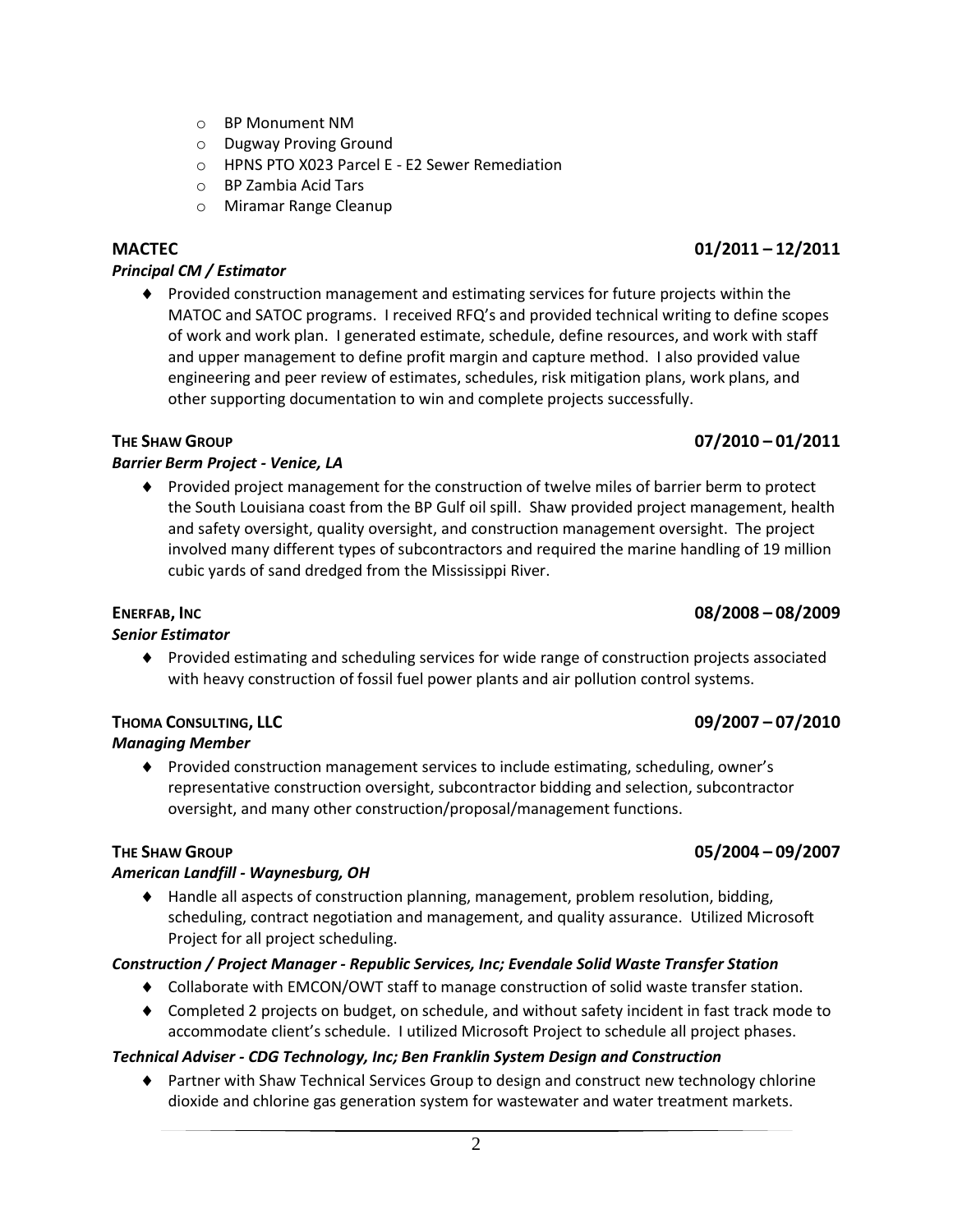- o BP Monument NM
- o Dugway Proving Ground
- o HPNS PTO X023 Parcel E E2 Sewer Remediation
- o BP Zambia Acid Tars
- o Miramar Range Cleanup

#### *Principal CM / Estimator*

 Provided construction management and estimating services for future projects within the MATOC and SATOC programs. I received RFQ's and provided technical writing to define scopes of work and work plan. I generated estimate, schedule, define resources, and work with staff and upper management to define profit margin and capture method. I also provided value engineering and peer review of estimates, schedules, risk mitigation plans, work plans, and other supporting documentation to win and complete projects successfully.

### *Barrier Berm Project - Venice, LA*

 Provided project management for the construction of twelve miles of barrier berm to protect the South Louisiana coast from the BP Gulf oil spill. Shaw provided project management, health and safety oversight, quality oversight, and construction management oversight. The project involved many different types of subcontractors and required the marine handling of 19 million cubic yards of sand dredged from the Mississippi River.

#### **ENERFAB, INC 08/2008 – 08/2009**

#### *Senior Estimator*

 Provided estimating and scheduling services for wide range of construction projects associated with heavy construction of fossil fuel power plants and air pollution control systems.

#### **THOMA CONSULTING, LLC 09/2007 – 07/2010** *Managing Member*

 Provided construction management services to include estimating, scheduling, owner's representative construction oversight, subcontractor bidding and selection, subcontractor oversight, and many other construction/proposal/management functions.

#### *American Landfill - Waynesburg, OH*

 Handle all aspects of construction planning, management, problem resolution, bidding, scheduling, contract negotiation and management, and quality assurance. Utilized Microsoft Project for all project scheduling.

### *Construction / Project Manager - Republic Services, Inc; Evendale Solid Waste Transfer Station*

- Collaborate with EMCON/OWT staff to manage construction of solid waste transfer station.
- Completed 2 projects on budget, on schedule, and without safety incident in fast track mode to accommodate client's schedule. I utilized Microsoft Project to schedule all project phases.

### *Technical Adviser - CDG Technology, Inc; Ben Franklin System Design and Construction*

♦ Partner with Shaw Technical Services Group to design and construct new technology chlorine dioxide and chlorine gas generation system for wastewater and water treatment markets.

# **MACTEC 01/2011 – 12/2011**

## **THE SHAW GROUP 05/2004 – 09/2007**

# **THE SHAW GROUP 07/2010 – 01/2011**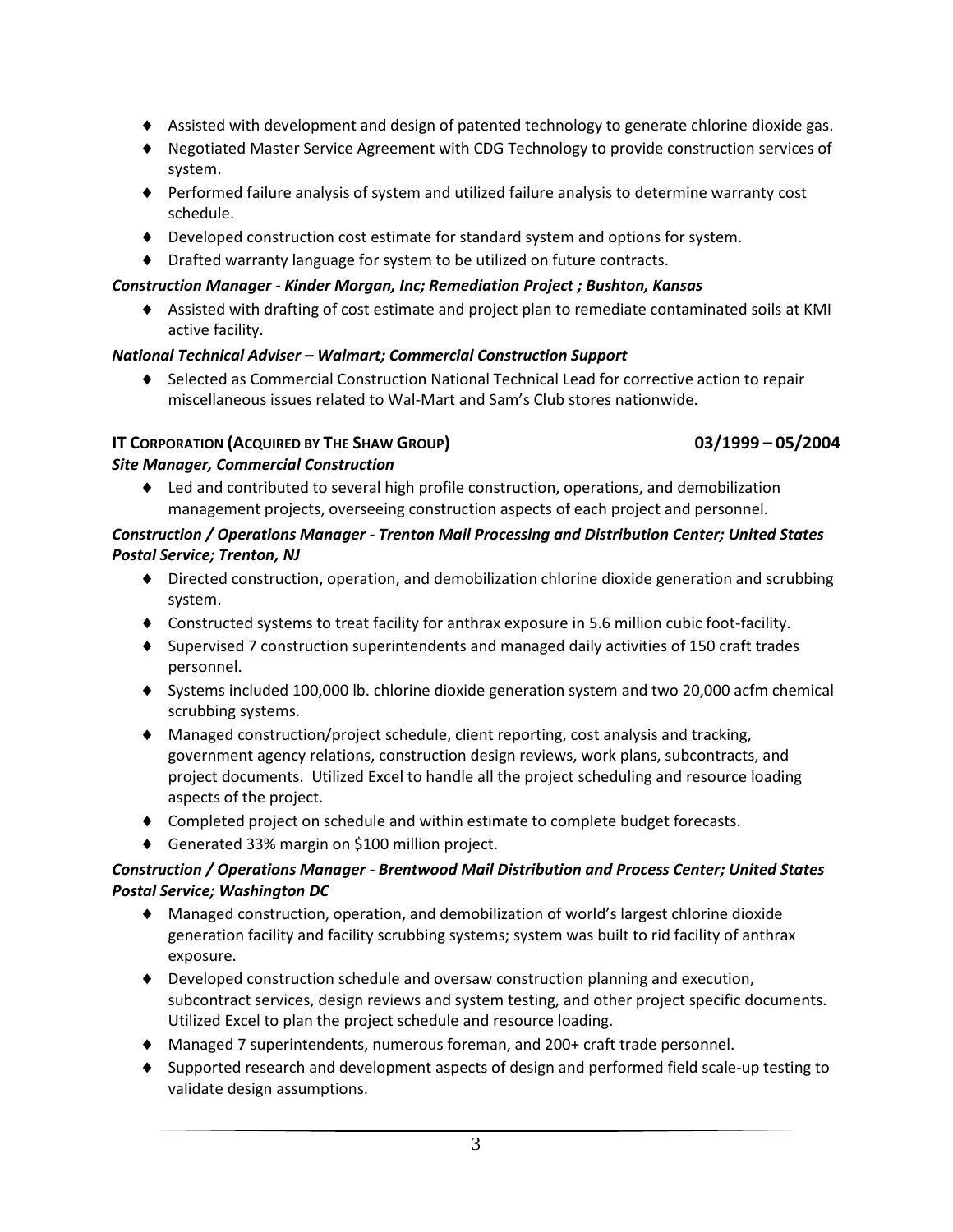- Assisted with development and design of patented technology to generate chlorine dioxide gas.
- Negotiated Master Service Agreement with CDG Technology to provide construction services of system.
- Performed failure analysis of system and utilized failure analysis to determine warranty cost schedule.
- Developed construction cost estimate for standard system and options for system.
- Drafted warranty language for system to be utilized on future contracts.

## *Construction Manager - Kinder Morgan, Inc; Remediation Project ; Bushton, Kansas*

 Assisted with drafting of cost estimate and project plan to remediate contaminated soils at KMI active facility.

# *National Technical Adviser – Walmart; Commercial Construction Support*

 Selected as Commercial Construction National Technical Lead for corrective action to repair miscellaneous issues related to Wal-Mart and Sam's Club stores nationwide.

# **IT CORPORATION (ACQUIRED BY THE SHAW GROUP) 03/1999 – 05/2004**

# *Site Manager, Commercial Construction*

 Led and contributed to several high profile construction, operations, and demobilization management projects, overseeing construction aspects of each project and personnel.

## *Construction / Operations Manager - Trenton Mail Processing and Distribution Center; United States Postal Service; Trenton, NJ*

- Directed construction, operation, and demobilization chlorine dioxide generation and scrubbing system.
- Constructed systems to treat facility for anthrax exposure in 5.6 million cubic foot-facility.
- Supervised 7 construction superintendents and managed daily activities of 150 craft trades personnel.
- Systems included 100,000 lb. chlorine dioxide generation system and two 20,000 acfm chemical scrubbing systems.
- Managed construction/project schedule, client reporting, cost analysis and tracking, government agency relations, construction design reviews, work plans, subcontracts, and project documents. Utilized Excel to handle all the project scheduling and resource loading aspects of the project.
- Completed project on schedule and within estimate to complete budget forecasts.
- ◆ Generated 33% margin on \$100 million project.

# *Construction / Operations Manager - Brentwood Mail Distribution and Process Center; United States Postal Service; Washington DC*

- Managed construction, operation, and demobilization of world's largest chlorine dioxide generation facility and facility scrubbing systems; system was built to rid facility of anthrax exposure.
- Developed construction schedule and oversaw construction planning and execution, subcontract services, design reviews and system testing, and other project specific documents. Utilized Excel to plan the project schedule and resource loading.
- Managed 7 superintendents, numerous foreman, and 200+ craft trade personnel.
- Supported research and development aspects of design and performed field scale-up testing to validate design assumptions.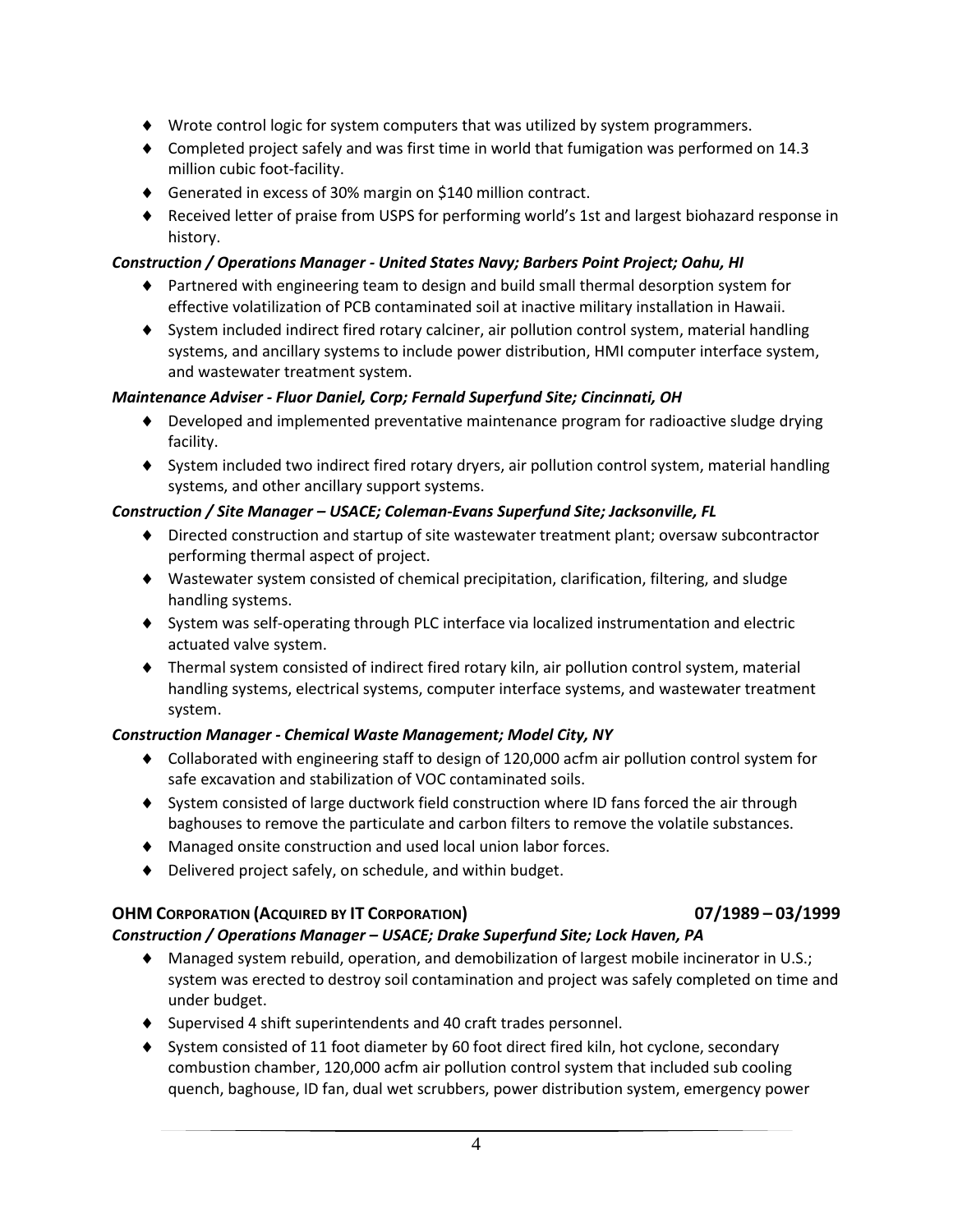- Wrote control logic for system computers that was utilized by system programmers.
- Completed project safely and was first time in world that fumigation was performed on 14.3 million cubic foot-facility.
- ◆ Generated in excess of 30% margin on \$140 million contract.
- ♦ Received letter of praise from USPS for performing world's 1st and largest biohazard response in history.

#### *Construction / Operations Manager - United States Navy; Barbers Point Project; Oahu, HI*

- Partnered with engineering team to design and build small thermal desorption system for effective volatilization of PCB contaminated soil at inactive military installation in Hawaii.
- System included indirect fired rotary calciner, air pollution control system, material handling systems, and ancillary systems to include power distribution, HMI computer interface system, and wastewater treatment system.

#### *Maintenance Adviser - Fluor Daniel, Corp; Fernald Superfund Site; Cincinnati, OH*

- Developed and implemented preventative maintenance program for radioactive sludge drying facility.
- System included two indirect fired rotary dryers, air pollution control system, material handling systems, and other ancillary support systems.

#### *Construction / Site Manager – USACE; Coleman-Evans Superfund Site; Jacksonville, FL*

- Directed construction and startup of site wastewater treatment plant; oversaw subcontractor performing thermal aspect of project.
- Wastewater system consisted of chemical precipitation, clarification, filtering, and sludge handling systems.
- System was self-operating through PLC interface via localized instrumentation and electric actuated valve system.
- Thermal system consisted of indirect fired rotary kiln, air pollution control system, material handling systems, electrical systems, computer interface systems, and wastewater treatment system.

### *Construction Manager - Chemical Waste Management; Model City, NY*

- Collaborated with engineering staff to design of 120,000 acfm air pollution control system for safe excavation and stabilization of VOC contaminated soils.
- System consisted of large ductwork field construction where ID fans forced the air through baghouses to remove the particulate and carbon filters to remove the volatile substances.
- Managed onsite construction and used local union labor forces.
- Delivered project safely, on schedule, and within budget.

### **OHM CORPORATION (ACQUIRED BY IT CORPORATION) 07/1989 – 03/1999**

### *Construction / Operations Manager – USACE; Drake Superfund Site; Lock Haven, PA*

- Managed system rebuild, operation, and demobilization of largest mobile incinerator in U.S.; system was erected to destroy soil contamination and project was safely completed on time and under budget.
- Supervised 4 shift superintendents and 40 craft trades personnel.
- System consisted of 11 foot diameter by 60 foot direct fired kiln, hot cyclone, secondary combustion chamber, 120,000 acfm air pollution control system that included sub cooling quench, baghouse, ID fan, dual wet scrubbers, power distribution system, emergency power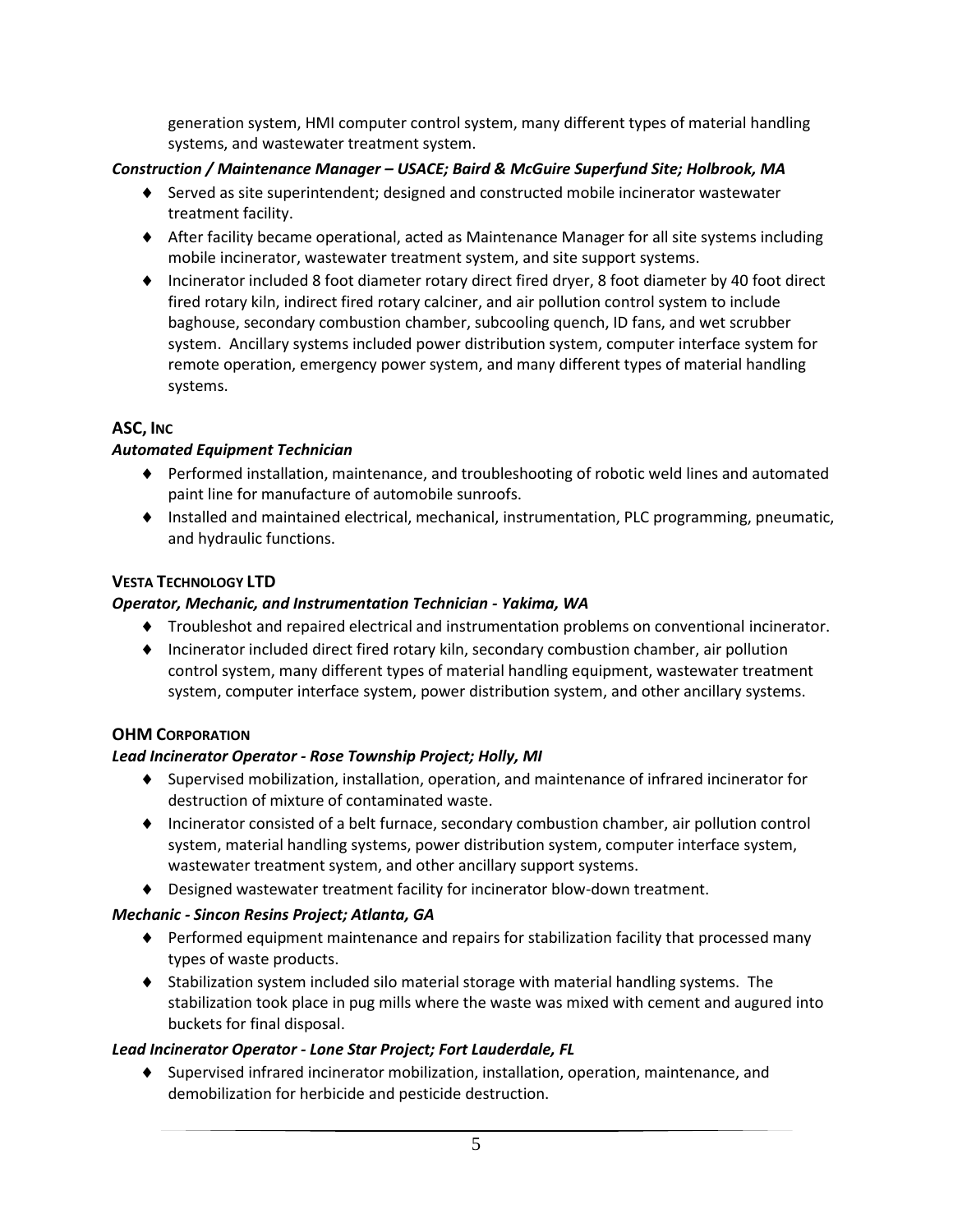generation system, HMI computer control system, many different types of material handling systems, and wastewater treatment system.

#### *Construction / Maintenance Manager – USACE; Baird & McGuire Superfund Site; Holbrook, MA*

- $\blacklozenge$  Served as site superintendent; designed and constructed mobile incinerator wastewater treatment facility.
- $\blacklozenge$  After facility became operational, acted as Maintenance Manager for all site systems including mobile incinerator, wastewater treatment system, and site support systems.
- Incinerator included 8 foot diameter rotary direct fired dryer, 8 foot diameter by 40 foot direct fired rotary kiln, indirect fired rotary calciner, and air pollution control system to include baghouse, secondary combustion chamber, subcooling quench, ID fans, and wet scrubber system. Ancillary systems included power distribution system, computer interface system for remote operation, emergency power system, and many different types of material handling systems.

### **ASC, INC**

#### *Automated Equipment Technician*

- Performed installation, maintenance, and troubleshooting of robotic weld lines and automated paint line for manufacture of automobile sunroofs.
- $\bullet$  Installed and maintained electrical, mechanical, instrumentation, PLC programming, pneumatic, and hydraulic functions.

### **VESTA TECHNOLOGY LTD**

#### *Operator, Mechanic, and Instrumentation Technician - Yakima, WA*

- Troubleshot and repaired electrical and instrumentation problems on conventional incinerator.
- Incinerator included direct fired rotary kiln, secondary combustion chamber, air pollution control system, many different types of material handling equipment, wastewater treatment system, computer interface system, power distribution system, and other ancillary systems.

### **OHM CORPORATION**

#### *Lead Incinerator Operator - Rose Township Project; Holly, MI*

- Supervised mobilization, installation, operation, and maintenance of infrared incinerator for destruction of mixture of contaminated waste.
- Incinerator consisted of a belt furnace, secondary combustion chamber, air pollution control system, material handling systems, power distribution system, computer interface system, wastewater treatment system, and other ancillary support systems.
- Designed wastewater treatment facility for incinerator blow-down treatment.

### *Mechanic - Sincon Resins Project; Atlanta, GA*

- Performed equipment maintenance and repairs for stabilization facility that processed many types of waste products.
- Stabilization system included silo material storage with material handling systems. The stabilization took place in pug mills where the waste was mixed with cement and augured into buckets for final disposal.

#### *Lead Incinerator Operator - Lone Star Project; Fort Lauderdale, FL*

 Supervised infrared incinerator mobilization, installation, operation, maintenance, and demobilization for herbicide and pesticide destruction.